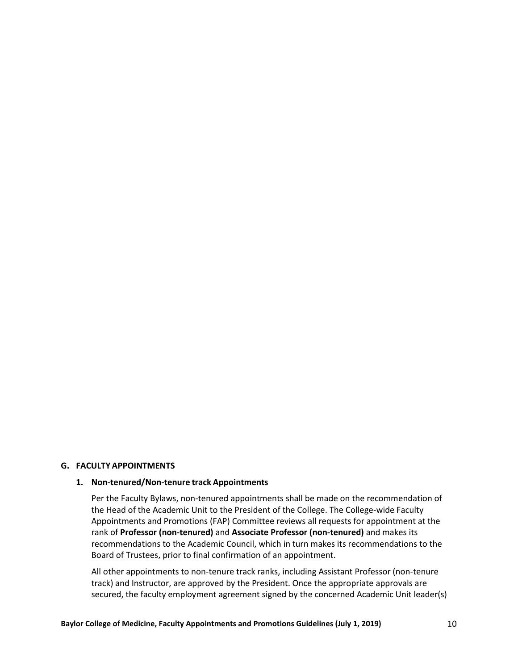### **G. FACULTY APPOINTMENTS**

#### **1. Non-tenured/Non-tenure track Appointments**

Per the Faculty Bylaws, non-tenured appointments shall be made on the recommendation of the Head of the Academic Unit to the President of the College. The College-wide Faculty Appointments and Promotions (FAP) Committee reviews all requests for appointment at the rank of **Professor (non-tenured)** and **Associate Professor (non-tenured)** and makes its recommendations to the Academic Council, which in turn makes its recommendations to the Board of Trustees, prior to final confirmation of an appointment.

All other appointments to non-tenure track ranks, including Assistant Professor (non-tenure track) and Instructor, are approved by the President. Once the appropriate approvals are secured, the faculty employment agreement signed by the concerned Academic Unit leader(s)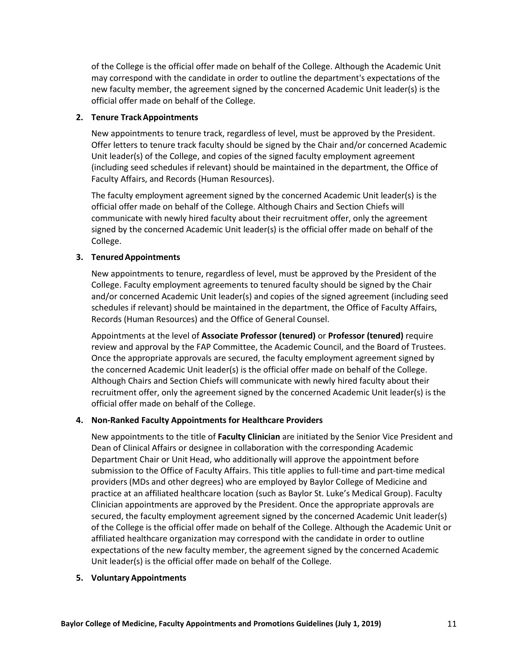of the College is the official offer made on behalf of the College. Although the Academic Unit may correspond with the candidate in order to outline the department's expectations of the new faculty member, the agreement signed by the concerned Academic Unit leader(s) is the official offer made on behalf of the College.

# **2. Tenure TrackAppointments**

New appointments to tenure track, regardless of level, must be approved by the President. Offer letters to tenure track faculty should be signed by the Chair and/or concerned Academic Unit leader(s) of the College, and copies of the signed faculty employment agreement (including seed schedules if relevant) should be maintained in the department, the Office of Faculty Affairs, and Records (Human Resources).

The faculty employment agreement signed by the concerned Academic Unit leader(s) is the official offer made on behalf of the College. Although Chairs and Section Chiefs will communicate with newly hired faculty about their recruitment offer, only the agreement signed by the concerned Academic Unit leader(s) is the official offer made on behalf of the College.

# **3. TenuredAppointments**

New appointments to tenure, regardless of level, must be approved by the President of the College. Faculty employment agreements to tenured faculty should be signed by the Chair and/or concerned Academic Unit leader(s) and copies of the signed agreement (including seed schedules if relevant) should be maintained in the department, the Office of Faculty Affairs, Records (Human Resources) and the Office of General Counsel.

Appointments at the level of **Associate Professor (tenured)** or **Professor (tenured)** require review and approval by the FAP Committee, the Academic Council, and the Board of Trustees. Once the appropriate approvals are secured, the faculty employment agreement signed by the concerned Academic Unit leader(s) is the official offer made on behalf of the College. Although Chairs and Section Chiefs will communicate with newly hired faculty about their recruitment offer, only the agreement signed by the concerned Academic Unit leader(s) is the official offer made on behalf of the College.

# **4. Non-Ranked Faculty Appointments for Healthcare Providers**

New appointments to the title of **Faculty Clinician** are initiated by the Senior Vice President and Dean of Clinical Affairs or designee in collaboration with the corresponding Academic Department Chair or Unit Head, who additionally will approve the appointment before submission to the Office of Faculty Affairs. This title applies to full-time and part-time medical providers (MDs and other degrees) who are employed by Baylor College of Medicine and practice at an affiliated healthcare location (such as Baylor St. Luke's Medical Group). Faculty Clinician appointments are approved by the President. Once the appropriate approvals are secured, the faculty employment agreement signed by the concerned Academic Unit leader(s) of the College is the official offer made on behalf of the College. Although the Academic Unit or affiliated healthcare organization may correspond with the candidate in order to outline expectations of the new faculty member, the agreement signed by the concerned Academic Unit leader(s) is the official offer made on behalf of the College.

### **5. Voluntary Appointments**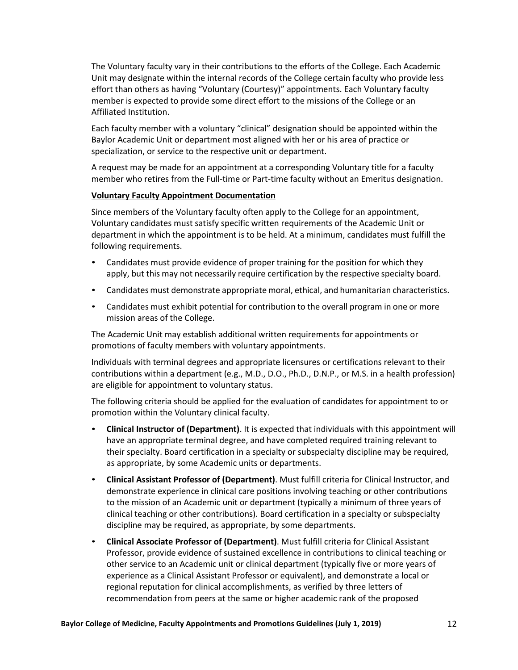The Voluntary faculty vary in their contributions to the efforts of the College. Each Academic Unit may designate within the internal records of the College certain faculty who provide less effort than others as having "Voluntary (Courtesy)" appointments. Each Voluntary faculty member is expected to provide some direct effort to the missions of the College or an Affiliated Institution.

Each faculty member with a voluntary "clinical" designation should be appointed within the Baylor Academic Unit or department most aligned with her or his area of practice or specialization, or service to the respective unit or department.

A request may be made for an appointment at a corresponding Voluntary title for a faculty member who retires from the Full-time or Part-time faculty without an Emeritus designation.

### **Voluntary Faculty Appointment Documentation**

Since members of the Voluntary faculty often apply to the College for an appointment, Voluntary candidates must satisfy specific written requirements of the Academic Unit or department in which the appointment is to be held. At a minimum, candidates must fulfill the following requirements.

- Candidates must provide evidence of proper training for the position for which they apply, but this may not necessarily require certification by the respective specialty board.
- Candidates must demonstrate appropriate moral, ethical, and humanitarian characteristics.
- Candidates must exhibit potential for contribution to the overall program in one or more mission areas of the College.

The Academic Unit may establish additional written requirements for appointments or promotions of faculty members with voluntary appointments.

Individuals with terminal degrees and appropriate licensures or certifications relevant to their contributions within a department (e.g., M.D., D.O., Ph.D., D.N.P., or M.S. in a health profession) are eligible for appointment to voluntary status.

The following criteria should be applied for the evaluation of candidates for appointment to or promotion within the Voluntary clinical faculty.

- **Clinical Instructor of (Department)**. It is expected that individuals with this appointment will have an appropriate terminal degree, and have completed required training relevant to their specialty. Board certification in a specialty or subspecialty discipline may be required, as appropriate, by some Academic units or departments.
- **Clinical Assistant Professor of (Department)**. Must fulfill criteria for Clinical Instructor, and demonstrate experience in clinical care positions involving teaching or other contributions to the mission of an Academic unit or department (typically a minimum of three years of clinical teaching or other contributions). Board certification in a specialty or subspecialty discipline may be required, as appropriate, by some departments.
- **Clinical Associate Professor of (Department)**. Must fulfill criteria for Clinical Assistant Professor, provide evidence of sustained excellence in contributions to clinical teaching or other service to an Academic unit or clinical department (typically five or more years of experience as a Clinical Assistant Professor or equivalent), and demonstrate a local or regional reputation for clinical accomplishments, as verified by three letters of recommendation from peers at the same or higher academic rank of the proposed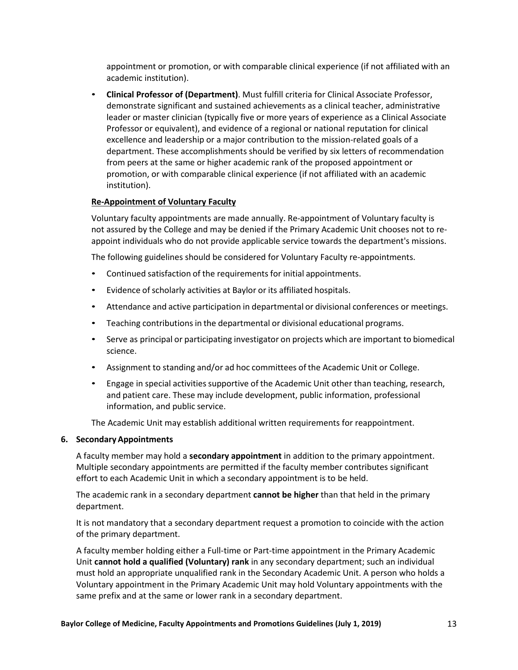appointment or promotion, or with comparable clinical experience (if not affiliated with an academic institution).

• **Clinical Professor of (Department)**. Must fulfill criteria for Clinical Associate Professor, demonstrate significant and sustained achievements as a clinical teacher, administrative leader or master clinician (typically five or more years of experience as a Clinical Associate Professor or equivalent), and evidence of a regional or national reputation for clinical excellence and leadership or a major contribution to the mission-related goals of a department. These accomplishments should be verified by six letters of recommendation from peers at the same or higher academic rank of the proposed appointment or promotion, or with comparable clinical experience (if not affiliated with an academic institution).

# **Re-Appointment of Voluntary Faculty**

Voluntary faculty appointments are made annually. Re-appointment of Voluntary faculty is not assured by the College and may be denied if the Primary Academic Unit chooses not to reappoint individuals who do not provide applicable service towards the department's missions.

The following guidelines should be considered for Voluntary Faculty re-appointments.

- Continued satisfaction of the requirements for initial appointments.
- Evidence of scholarly activities at Baylor or its affiliated hospitals.
- Attendance and active participation in departmental or divisional conferences or meetings.
- Teaching contributions in the departmental or divisional educational programs.
- Serve as principal or participating investigator on projects which are important to biomedical science.
- Assignment to standing and/or ad hoc committees of the Academic Unit or College.
- Engage in special activities supportive of the Academic Unit other than teaching, research, and patient care. These may include development, public information, professional information, and public service.

The Academic Unit may establish additional written requirements for reappointment.

### **6. SecondaryAppointments**

A faculty member may hold a **secondary appointment** in addition to the primary appointment. Multiple secondary appointments are permitted if the faculty member contributes significant effort to each Academic Unit in which a secondary appointment is to be held.

The academic rank in a secondary department **cannot be higher** than that held in the primary department.

It is not mandatory that a secondary department request a promotion to coincide with the action of the primary department.

A faculty member holding either a Full-time or Part-time appointment in the Primary Academic Unit **cannot hold a qualified (Voluntary) rank** in any secondary department; such an individual must hold an appropriate unqualified rank in the Secondary Academic Unit. A person who holds a Voluntary appointment in the Primary Academic Unit may hold Voluntary appointments with the same prefix and at the same or lower rank in a secondary department.